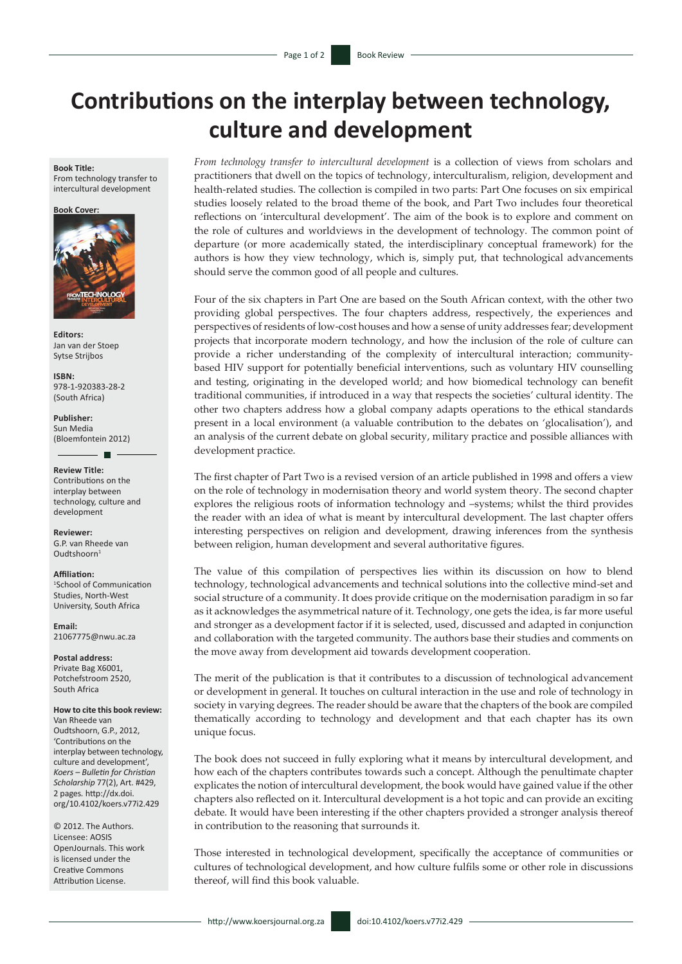## **Contributions on the interplay between technology, culture and development**

**Book Title:**

From technology transfer to intercultural development





**Editors:** Jan van der Stoep Sytse Strijbos

**ISBN:** 978-1-920383-28-2 (South Africa)

**Publisher:** Sun Media (Bloemfontein 2012)

**Review Title:** Contributions on the interplay between technology, culture and development

**Reviewer:** G.P. van Rheede van Oudtshoorn1

**Affiliation:** 1 School of Communication Studies, North-West University, South Africa

**Email:** [21067775@nwu.ac.za](mailto:21067775@nwu.ac.za)

**Postal address:**  Private Bag X6001, Potchefstroom 2520, South Africa

**How to cite this book review:** Van Rheede van Oudtshoorn, G.P., 2012, 'Contributions on the interplay between technology, culture and development', *Koers – Bulletin for Christian Scholarship* 77(2), Art. #429, 2 pages*.* http://dx.doi. org/10.4102/koers.v77i2.429

© 2012. The Authors. Licensee: AOSIS OpenJournals. This work is licensed under the Creative Commons Attribution License.

*From technology transfer to intercultural development* is a collection of views from scholars and practitioners that dwell on the topics of technology, interculturalism, religion, development and health-related studies. The collection is compiled in two parts: Part One focuses on six empirical studies loosely related to the broad theme of the book, and Part Two includes four theoretical reflections on 'intercultural development'. The aim of the book is to explore and comment on the role of cultures and worldviews in the development of technology. The common point of departure (or more academically stated, the interdisciplinary conceptual framework) for the authors is how they view technology, which is, simply put, that technological advancements should serve the common good of all people and cultures.

Four of the six chapters in Part One are based on the South African context, with the other two providing global perspectives. The four chapters address, respectively, the experiences and perspectives of residents of low-cost houses and how a sense of unity addresses fear; development projects that incorporate modern technology, and how the inclusion of the role of culture can provide a richer understanding of the complexity of intercultural interaction; communitybased HIV support for potentially beneficial interventions, such as voluntary HIV counselling and testing, originating in the developed world; and how biomedical technology can benefit traditional communities, if introduced in a way that respects the societies' cultural identity. The other two chapters address how a global company adapts operations to the ethical standards present in a local environment (a valuable contribution to the debates on 'glocalisation'), and an analysis of the current debate on global security, military practice and possible alliances with development practice.

The first chapter of Part Two is a revised version of an article published in 1998 and offers a view on the role of technology in modernisation theory and world system theory. The second chapter explores the religious roots of information technology and –systems; whilst the third provides the reader with an idea of what is meant by intercultural development. The last chapter offers interesting perspectives on religion and development, drawing inferences from the synthesis between religion, human development and several authoritative figures.

The value of this compilation of perspectives lies within its discussion on how to blend technology, technological advancements and technical solutions into the collective mind-set and social structure of a community. It does provide critique on the modernisation paradigm in so far as it acknowledges the asymmetrical nature of it. Technology, one gets the idea, is far more useful and stronger as a development factor if it is selected, used, discussed and adapted in conjunction and collaboration with the targeted community. The authors base their studies and comments on the move away from development aid towards development cooperation.

The merit of the publication is that it contributes to a discussion of technological advancement or development in general. It touches on cultural interaction in the use and role of technology in society in varying degrees. The reader should be aware that the chapters of the book are compiled thematically according to technology and development and that each chapter has its own unique focus.

The book does not succeed in fully exploring what it means by intercultural development, and how each of the chapters contributes towards such a concept. Although the penultimate chapter explicates the notion of intercultural development, the book would have gained value if the other chapters also reflected on it. Intercultural development is a hot topic and can provide an exciting debate. It would have been interesting if the other chapters provided a stronger analysis thereof in contribution to the reasoning that surrounds it.

Those interested in technological development, specifically the acceptance of communities or cultures of technological development, and how culture fulfils some or other role in discussions thereof, will find this book valuable.